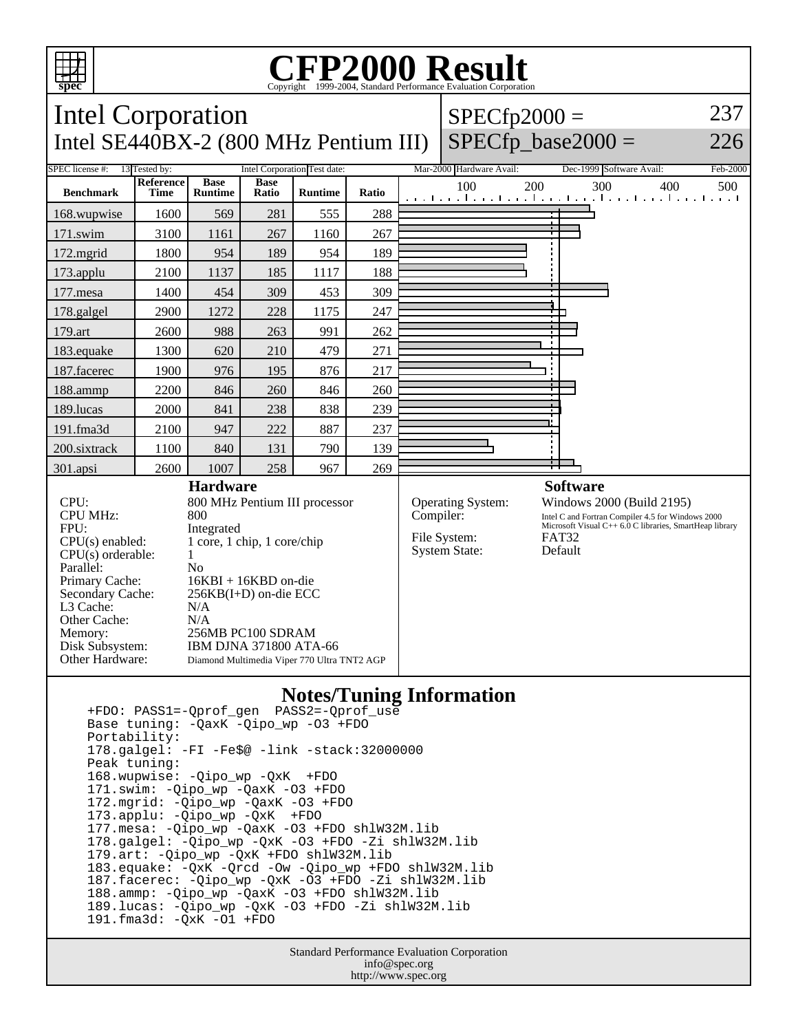

## Copyright ©1999-2004, Standard Performance Evaluation Corporation

| <b>Intel Corporation</b>                                                                                                                                                                                     |                   |                                                                                                                                                                                                                                                                                         |                      |                |       |  | $SPECfp2000 =$                                                         |                      |                                                                                                                                                                                         |                          | 237      |  |  |  |  |  |  |  |  |  |  |
|--------------------------------------------------------------------------------------------------------------------------------------------------------------------------------------------------------------|-------------------|-----------------------------------------------------------------------------------------------------------------------------------------------------------------------------------------------------------------------------------------------------------------------------------------|----------------------|----------------|-------|--|------------------------------------------------------------------------|----------------------|-----------------------------------------------------------------------------------------------------------------------------------------------------------------------------------------|--------------------------|----------|--|--|--|--|--|--|--|--|--|--|
| Intel SE440BX-2 (800 MHz Pentium III)                                                                                                                                                                        |                   |                                                                                                                                                                                                                                                                                         |                      |                |       |  |                                                                        | $SPECfp\_base2000 =$ |                                                                                                                                                                                         | 226                      |          |  |  |  |  |  |  |  |  |  |  |
| <b>SPEC</b> license #:<br>13 Tested by:<br>Intel Corporation Test date:                                                                                                                                      |                   |                                                                                                                                                                                                                                                                                         |                      |                |       |  | Mar-2000 Hardware Avail:                                               |                      | Dec-1999 Software Avail:                                                                                                                                                                |                          | Feb-2000 |  |  |  |  |  |  |  |  |  |  |
| <b>Benchmark</b>                                                                                                                                                                                             | Reference<br>Time | <b>Base</b><br><b>Runtime</b>                                                                                                                                                                                                                                                           | <b>Base</b><br>Ratio | <b>Runtime</b> | Ratio |  | 100                                                                    | 200                  | 300                                                                                                                                                                                     | 400                      | 500      |  |  |  |  |  |  |  |  |  |  |
| 168.wupwise                                                                                                                                                                                                  | 1600              | 569                                                                                                                                                                                                                                                                                     | 281                  | 555            | 288   |  |                                                                        |                      |                                                                                                                                                                                         |                          |          |  |  |  |  |  |  |  |  |  |  |
| 171.swim                                                                                                                                                                                                     | 3100              | 1161                                                                                                                                                                                                                                                                                    | 267                  | 1160           | 267   |  |                                                                        |                      |                                                                                                                                                                                         |                          |          |  |  |  |  |  |  |  |  |  |  |
| 172.mgrid                                                                                                                                                                                                    | 1800              | 954                                                                                                                                                                                                                                                                                     | 189                  | 954            | 189   |  |                                                                        |                      |                                                                                                                                                                                         |                          |          |  |  |  |  |  |  |  |  |  |  |
| 173.applu                                                                                                                                                                                                    | 2100              | 1137                                                                                                                                                                                                                                                                                    | 185                  | 1117           | 188   |  |                                                                        |                      |                                                                                                                                                                                         |                          |          |  |  |  |  |  |  |  |  |  |  |
| 177.mesa                                                                                                                                                                                                     | 1400              | 454                                                                                                                                                                                                                                                                                     | 309                  | 453            | 309   |  |                                                                        |                      |                                                                                                                                                                                         |                          |          |  |  |  |  |  |  |  |  |  |  |
| 178.galgel                                                                                                                                                                                                   | 2900              | 1272                                                                                                                                                                                                                                                                                    | 228                  | 1175           | 247   |  |                                                                        |                      |                                                                                                                                                                                         |                          |          |  |  |  |  |  |  |  |  |  |  |
| 179.art                                                                                                                                                                                                      | 2600              | 988                                                                                                                                                                                                                                                                                     | 263                  | 991            | 262   |  |                                                                        |                      |                                                                                                                                                                                         |                          |          |  |  |  |  |  |  |  |  |  |  |
| 183.equake                                                                                                                                                                                                   | 1300              | 620                                                                                                                                                                                                                                                                                     | 210                  | 479            | 271   |  |                                                                        |                      |                                                                                                                                                                                         |                          |          |  |  |  |  |  |  |  |  |  |  |
| 187.facerec                                                                                                                                                                                                  | 1900              | 976                                                                                                                                                                                                                                                                                     | 195                  | 876            | 217   |  |                                                                        |                      |                                                                                                                                                                                         |                          |          |  |  |  |  |  |  |  |  |  |  |
| 188.ammp                                                                                                                                                                                                     | 2200              | 846                                                                                                                                                                                                                                                                                     | 260                  | 846            | 260   |  |                                                                        |                      |                                                                                                                                                                                         |                          |          |  |  |  |  |  |  |  |  |  |  |
| 189.lucas                                                                                                                                                                                                    | 2000              | 841                                                                                                                                                                                                                                                                                     | 238                  | 838            | 239   |  |                                                                        |                      |                                                                                                                                                                                         |                          |          |  |  |  |  |  |  |  |  |  |  |
| 191.fma3d                                                                                                                                                                                                    | 2100              | 947                                                                                                                                                                                                                                                                                     | 222                  | 887            | 237   |  |                                                                        |                      |                                                                                                                                                                                         |                          |          |  |  |  |  |  |  |  |  |  |  |
| 200.sixtrack                                                                                                                                                                                                 | 1100              | 840                                                                                                                                                                                                                                                                                     | 131                  | 790            | 139   |  |                                                                        |                      |                                                                                                                                                                                         |                          |          |  |  |  |  |  |  |  |  |  |  |
| 301.apsi                                                                                                                                                                                                     | 2600              | 1007                                                                                                                                                                                                                                                                                    | 258                  | 967            | 269   |  |                                                                        |                      |                                                                                                                                                                                         |                          |          |  |  |  |  |  |  |  |  |  |  |
| CPU:<br><b>CPU MHz:</b><br>FPU:<br>$CPU(s)$ enabled:<br>$CPU(s)$ orderable:<br>Parallel:<br>Primary Cache:<br>Secondary Cache:<br>L3 Cache:<br>Other Cache:<br>Memory:<br>Disk Subsystem:<br>Other Hardware: |                   | <b>Hardware</b><br>800 MHz Pentium III processor<br>800<br>Integrated<br>1 core, 1 chip, 1 core/chip<br>$\mathbf{1}$<br>No<br>16KBI + 16KBD on-die<br>256KB(I+D) on-die ECC<br>N/A<br>N/A<br>256MB PC100 SDRAM<br>IBM DJNA 371800 ATA-66<br>Diamond Multimedia Viper 770 Ultra TNT2 AGP |                      |                |       |  | Operating System:<br>Compiler:<br>File System:<br><b>System State:</b> |                      | <b>Software</b><br>Windows 2000 (Build 2195)<br>Intel C and Fortran Compiler 4.5 for Windows 2000<br>Microsoft Visual C++ 6.0 C libraries, SmartHeap library<br><b>FAT32</b><br>Default |                          |          |  |  |  |  |  |  |  |  |  |  |
|                                                                                                                                                                                                              |                   |                                                                                                                                                                                                                                                                                         |                      |                |       |  |                                                                        |                      |                                                                                                                                                                                         | Notes/Tuning Information |          |  |  |  |  |  |  |  |  |  |  |

## **Notes/Tuning Information**

 +FDO: PASS1=-Qprof\_gen PASS2=-Qprof\_use Base tuning: -QaxK -Qipo\_wp -O3 +FDO Portability: 178.galgel: -FI -Fe\$@ -link -stack:32000000 Peak tuning: 168.wupwise: -Qipo\_wp -QxK +FDO 171.swim: -Qipo\_wp -QaxK -O3 +FDO 172.mgrid: -Qipo\_wp -QaxK -O3 +FDO 173.applu: -Qipo\_wp -QxK +FDO 177.mesa: -Qipo\_wp -QaxK -O3 +FDO shlW32M.lib 178.galgel: -Qipo\_wp -QxK -O3 +FDO -Zi shlW32M.lib 179.art: -Qipo\_wp -QxK +FDO shlW32M.lib 183.equake: -QxK -Qrcd -Ow -Qipo\_wp +FDO shlW32M.lib 187.facerec: -Qipo\_wp -QxK -O3 +FDO -Zi shlW32M.lib 188.ammp: -Qipo\_wp -QaxK -O3 +FDO shlW32M.lib 189.lucas: -Qipo\_wp -QxK -O3 +FDO -Zi shlW32M.lib 191.fma3d: -QxK -O1 +FDO

> Standard Performance Evaluation Corporation info@spec.org http://www.spec.org